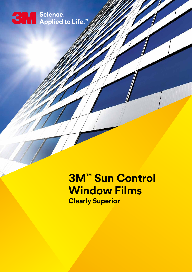# SW Science.<br>●■■ Applied to Life.™

## **3M™ Sun Control Window Films**

**Clearly Superior**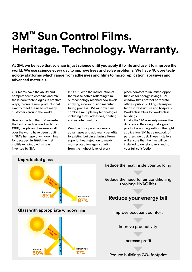## **3M™ Sun Control Films. Heritage. Technology. Warranty.**

**At 3M, we believe that science is just science until you apply it to life and use it to improve the world. We use science every day to improve lives and solve problems. We have 46 core technology platforms which range from adhesives and films to micro replication, abrasives and advanced materials.** 

Our teams have the ability and competence to combine and mix these core technologies in creative ways, to create new products that exactly meet the needs of many customers around the world.

Besides the fact that 3M invented the first reflective window film in 1966, people and businesses all over the world have been trusting in 3M's heritage of window films for decades. In 1998, the first multilayer window film was invented by 3M.

In 2006, with the introduction of the first selective reflecting film, our technology reached new levels applying a co-extrusion manufacturing process. 3M window films combine multiple key technologies including films, adhesives, coating and nanotechnology.

Window films provide various advantages and add many benefits to existing building glazing. From superior heat rejection to maximum protection against fading, from the highest level of work

place comfort to unlimited opportunities for energy savings, 3M window films protect corporate offices, public buildings, transportation infrastructure and hospitals. World class films for world class buildings.

Finally the 3M warranty makes the difference. Knowing that a good product is nothing without the right application, 3M has a network of partners we trust. These installers will ensure that the film will be installed to our standards and to your full satisfaction.



Reduce the heat inside your building

Reduce the need for air conditioning (prolong HVAC life)

#### **Reduce your energy bill**

Improve occupant comfort

Improve productivity

Increase profit

Reduce buildings  $CO<sub>2</sub>$  footprint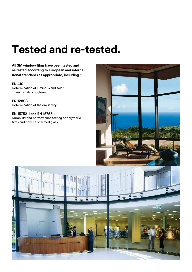### **Tested and re-tested.**

**All 3M window films have been tested and re-tested according to European and international standards as appropriate, including :**

#### **EN 410**

Determination of luminous and solar characteristics of glazing.

**EN 12898**  Determination of the emissivity.

**EN 15752-1 and EN 15755-1**  Durability and performance testing of polymeric films and polymeric filmed glass.



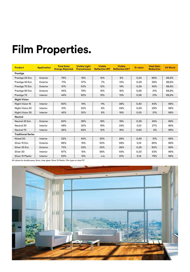## **Film Properties.**

| <b>Product</b>            | <b>Application</b> | <b>Total Solar</b><br><b>Energy Rejected</b> | <b>Visible Light</b><br><b>Transmission</b> | <b>Visible</b><br><b>Reflection INT</b> | <b>Visible</b><br><b>Reflection EXT</b> | <b>G-value</b> | <b>Heat Gain</b><br><b>Reduction</b> | <b>UV Block</b> |
|---------------------------|--------------------|----------------------------------------------|---------------------------------------------|-----------------------------------------|-----------------------------------------|----------------|--------------------------------------|-----------------|
| Prestige                  |                    |                                              |                                             |                                         |                                         |                |                                      |                 |
| Prestige 20 Ext.          | Exterior           | 76%                                          | 18%                                         | 12%                                     | 6%                                      | 0,24           | 66%                                  | 99,9%           |
| Prestige 40 Ext.          | Exterior           | 71%                                          | 37%                                         | 7%                                      | 13%                                     | 0,29           | 59%                                  | 99,9%           |
| Prestige 70 Ext.          | Exterior           | 61%                                          | 63%                                         | 12%                                     | 14%                                     | 0,39           | 45%                                  | 99,9%           |
| Prestige 90 Ext.          | Exterior           | 45%                                          | 78%                                         | 15%                                     | 16%                                     | 0,56           | 21%                                  | 99,9%           |
| Prestige 70               | Interior           | 44%                                          | 62%                                         | 15%                                     | 13%                                     | 0,56           | 21%                                  | 99,9%           |
| <b>Night Vision</b>       |                    |                                              |                                             |                                         |                                         |                |                                      |                 |
| Night Vision 15           | Interior           | 60%                                          | 14%                                         | 11%                                     | 39%                                     | 0,40           | 43%                                  | 99%             |
| Night Vision 25           | Interior           | 51%                                          | 22%                                         | 8%                                      | 24%                                     | 0,49           | 29%                                  | 99%             |
| Night Vision 35           | Interior           | 45%                                          | 32%                                         | 8%                                      | 19%                                     | 0,55           | 21%                                  | 99%             |
| Neutral                   |                    |                                              |                                             |                                         |                                         |                |                                      |                 |
| Neutral 35 Ext.           | Exterior           | 62%                                          | 36%                                         | 18%                                     | 19%                                     | 0,39           | 45%                                  | 99%             |
| Neutral 35                | Interior           | 49%                                          | 32%                                         | 19%                                     | 24%                                     | 0,51           | 27%                                  | 99%             |
| Neutral 70                | Interior           | 36%                                          | 62%                                         | 12%                                     | 16%                                     | 0,64           | 8%                                   | 99%             |
| <b>Traditional Series</b> |                    |                                              |                                             |                                         |                                         |                |                                      |                 |
| Nickel 50                 | Interior           | 52%                                          | 45%                                         | 25%                                     | 28%                                     | 0,48           | 31%                                  | 99%             |
| Silver 15 Ext.            | Exterior           | 86%                                          | 15%                                         | 53%                                     | 59%                                     | 0,14           | 80%                                  | 99%             |
| Silver 35 Ext.            | Exterior           | 72%                                          | 33%                                         | 33%                                     | 36%                                     | 0,28           | 60%                                  | 99%             |
| Silver 20                 | Interior           | 67%                                          | 15%                                         | 58%                                     | 55%                                     | 0,33           | 53%                                  | 99%             |
| Silver 15 Plastic         | Interior           | 83%                                          | 15%                                         | n/a                                     | 61%                                     | 0,14           | 79%                                  | 99%             |

All values for double pane, 6mm, clear glass. Silver 15 Plastic: Film type on clear PC

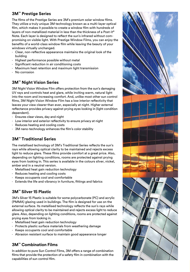#### **3M™ Prestige Series**

The films of the Prestige Series are 3M's premium solar window films. They utilize a truly unique 3M technology known as a multi-layer optical film, which makes it possible to create a window film with hundreds of layers of non-metallized material in less than the thickness of a Post-it® Note. Each layer is designed to reflect the sun's infrared without compromising on visible light. With Prestige Window Films, you can enjoy the benefits of a world-class window film while leaving the beauty of your windows virtually unchanged.

- ⋅ Clear, non-reflective appearance maintains the original look of the building
- ⋅ Highest performance possible without metal
- ⋅ Significant reduction in air conditioning costs
- ⋅ Maximum heat retention and maximum light transmission
- ⋅ No corrosion

#### **3M™ Night Vision Series**

3M Night Vision Window Film offers protection from the sun's damaging UV rays and controls heat and glare, while inviting warm, natural light into the room and increasing comfort. And, unlike most other sun control films, 3M Night Vision Window Film has a low interior reflectivity that leaves your view clearer than ever, especially at night. Higher external reflectance provides privacy against prying eyes looking in (light condition dependent).

- ⋅ Ensures clear views, day and night
- ⋅ Low interior and exterior reflectivity to ensure privacy at night
- ⋅ Reduces heating and cooling costs
- ⋅ 3M nano-technology enhances the film's color stability

#### **3M™ Traditional Series**

The metallised technology of 3M's Traditional Series reflects the sun's rays while allowing optical clarity to be maintained and rejects excess light to reduce glare. These films provide comfort at a great price. Also, depending on lighting conditions, rooms are protected against prying eyes from looking in. This series is available in the colours silver, nickel, amber and in a neutral version.

- ⋅ Metallised heat gain reduction technology
- ⋅ Reduces heating and cooling costs
- ⋅ Keeps occupants cool and comfortable
- ⋅ Extends the life and vibrancy in furniture, fittings and fabrics

#### **3M™ Silver 15 Plastic**

3M's Silver 15 Plastic is suitable for some polycarbonate (PC) and acrylic (PMMA) glazing used in buildings. The film is designed for use on the external surface. Its metallised technology reflects the sun's rays while allowing optical clarity to be maintained and rejects excess light to reduce glare. Also, depending on lighting conditions, rooms are protected against prying eyes from looking in.

- ⋅ Metallised heat gain reduction technology
- ⋅ Protects plastic surface materials from weathering damage
- ⋅ Keeps occupants cool and comfortable
- ⋅ Abrasion resistant surface to maintain good appearance longer

#### **3M™ Combination Films**

In addition to pure Sun Control Films, 3M offers a range of combination films that provide the protection of a safety film in combination with the capabilities of sun control film.